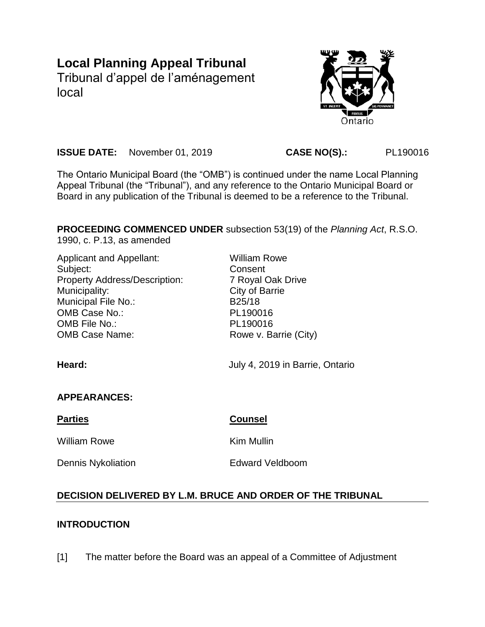# **Local Planning Appeal Tribunal**

Tribunal d'appel de l'aménagement local



**ISSUE DATE:** November 01, 2019 **CASE NO(S).:** PL190016

The Ontario Municipal Board (the "OMB") is continued under the name Local Planning Appeal Tribunal (the "Tribunal"), and any reference to the Ontario Municipal Board or Board in any publication of the Tribunal is deemed to be a reference to the Tribunal.

**PROCEEDING COMMENCED UNDER** subsection 53(19) of the *Planning Act*, R.S.O.

1990, c. P.13, as amended

| Applicant and Appellant:<br>Subject:<br><b>Property Address/Description:</b><br>Municipality:<br><b>Municipal File No.:</b><br>OMB Case No.:<br>OMB File No.:<br><b>OMB Case Name:</b><br>Heard: | William Rowe<br>Consent<br>7 Royal Oak Drive<br>City of Barrie<br>B <sub>25</sub> /18<br>PL190016<br>PL190016<br>Rowe v. Barrie (City) |
|--------------------------------------------------------------------------------------------------------------------------------------------------------------------------------------------------|----------------------------------------------------------------------------------------------------------------------------------------|
|                                                                                                                                                                                                  | July 4, 2019 in Barrie, Ontario                                                                                                        |
| <b>APPEARANCES:</b>                                                                                                                                                                              |                                                                                                                                        |
| <b>Parties</b>                                                                                                                                                                                   | <b>Counsel</b>                                                                                                                         |
| <b>William Rowe</b>                                                                                                                                                                              | Kim Mullin                                                                                                                             |
| <b>Dennis Nykoliation</b>                                                                                                                                                                        | <b>Edward Veldboom</b>                                                                                                                 |

# **DECISION DELIVERED BY L.M. BRUCE AND ORDER OF THE TRIBUNAL**

## **INTRODUCTION**

[1] The matter before the Board was an appeal of a Committee of Adjustment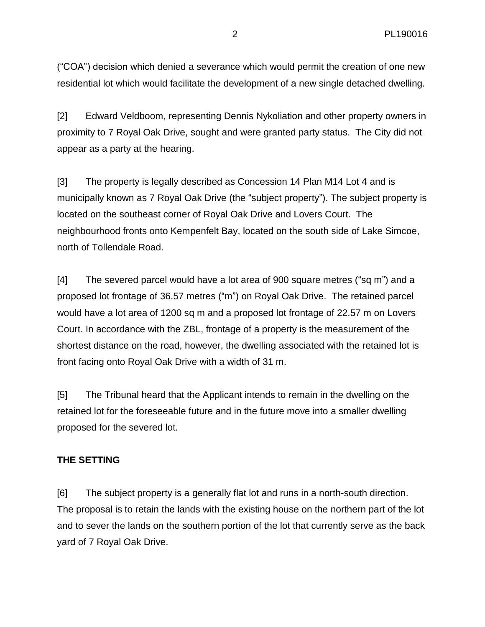("COA") decision which denied a severance which would permit the creation of one new residential lot which would facilitate the development of a new single detached dwelling.

[2] Edward Veldboom, representing Dennis Nykoliation and other property owners in proximity to 7 Royal Oak Drive, sought and were granted party status. The City did not appear as a party at the hearing.

[3] The property is legally described as Concession 14 Plan M14 Lot 4 and is municipally known as 7 Royal Oak Drive (the "subject property"). The subject property is located on the southeast corner of Royal Oak Drive and Lovers Court. The neighbourhood fronts onto Kempenfelt Bay, located on the south side of Lake Simcoe, north of Tollendale Road.

[4] The severed parcel would have a lot area of 900 square metres ("sq m") and a proposed lot frontage of 36.57 metres ("m") on Royal Oak Drive. The retained parcel would have a lot area of 1200 sq m and a proposed lot frontage of 22.57 m on Lovers Court. In accordance with the ZBL, frontage of a property is the measurement of the shortest distance on the road, however, the dwelling associated with the retained lot is front facing onto Royal Oak Drive with a width of 31 m.

[5] The Tribunal heard that the Applicant intends to remain in the dwelling on the retained lot for the foreseeable future and in the future move into a smaller dwelling proposed for the severed lot.

#### **THE SETTING**

[6] The subject property is a generally flat lot and runs in a north-south direction. The proposal is to retain the lands with the existing house on the northern part of the lot and to sever the lands on the southern portion of the lot that currently serve as the back yard of 7 Royal Oak Drive.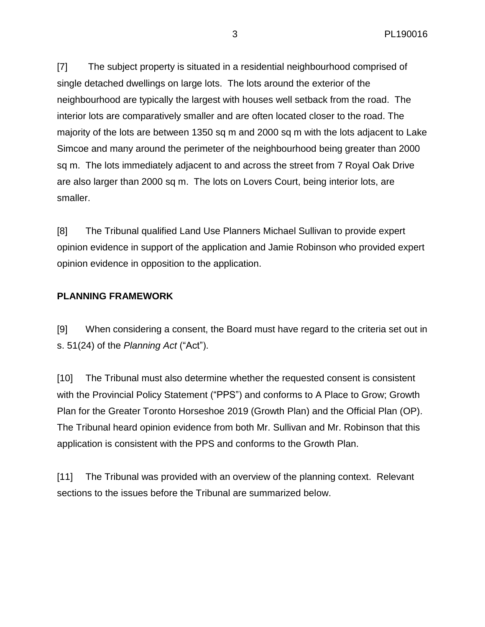[7] The subject property is situated in a residential neighbourhood comprised of single detached dwellings on large lots. The lots around the exterior of the neighbourhood are typically the largest with houses well setback from the road. The interior lots are comparatively smaller and are often located closer to the road. The majority of the lots are between 1350 sq m and 2000 sq m with the lots adjacent to Lake Simcoe and many around the perimeter of the neighbourhood being greater than 2000 sq m. The lots immediately adjacent to and across the street from 7 Royal Oak Drive are also larger than 2000 sq m. The lots on Lovers Court, being interior lots, are smaller.

[8] The Tribunal qualified Land Use Planners Michael Sullivan to provide expert opinion evidence in support of the application and Jamie Robinson who provided expert opinion evidence in opposition to the application.

## **PLANNING FRAMEWORK**

[9] When considering a consent, the Board must have regard to the criteria set out in s. 51(24) of the *Planning Act* ("Act").

[10] The Tribunal must also determine whether the requested consent is consistent with the Provincial Policy Statement ("PPS") and conforms to A Place to Grow; Growth Plan for the Greater Toronto Horseshoe 2019 (Growth Plan) and the Official Plan (OP). The Tribunal heard opinion evidence from both Mr. Sullivan and Mr. Robinson that this application is consistent with the PPS and conforms to the Growth Plan.

[11] The Tribunal was provided with an overview of the planning context. Relevant sections to the issues before the Tribunal are summarized below.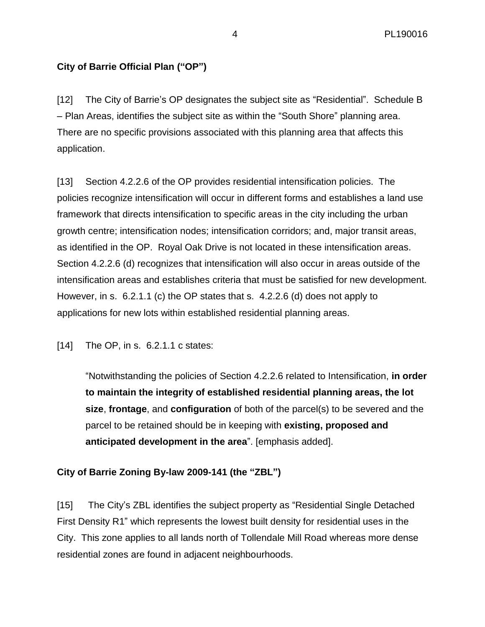# **City of Barrie Official Plan ("OP")**

[12] The City of Barrie's OP designates the subject site as "Residential". Schedule B – Plan Areas, identifies the subject site as within the "South Shore" planning area. There are no specific provisions associated with this planning area that affects this application.

[13] Section 4.2.2.6 of the OP provides residential intensification policies. The policies recognize intensification will occur in different forms and establishes a land use framework that directs intensification to specific areas in the city including the urban growth centre; intensification nodes; intensification corridors; and, major transit areas, as identified in the OP. Royal Oak Drive is not located in these intensification areas. Section 4.2.2.6 (d) recognizes that intensification will also occur in areas outside of the intensification areas and establishes criteria that must be satisfied for new development. However, in s. 6.2.1.1 (c) the OP states that s. 4.2.2.6 (d) does not apply to applications for new lots within established residential planning areas.

[14] The OP, in s. 6.2.1.1 c states:

"Notwithstanding the policies of Section 4.2.2.6 related to Intensification, **in order to maintain the integrity of established residential planning areas, the lot size**, **frontage**, and **configuration** of both of the parcel(s) to be severed and the parcel to be retained should be in keeping with **existing, proposed and anticipated development in the area**". [emphasis added].

## **City of Barrie Zoning By-law 2009-141 (the "ZBL")**

[15] The City's ZBL identifies the subject property as "Residential Single Detached First Density R1" which represents the lowest built density for residential uses in the City. This zone applies to all lands north of Tollendale Mill Road whereas more dense residential zones are found in adjacent neighbourhoods.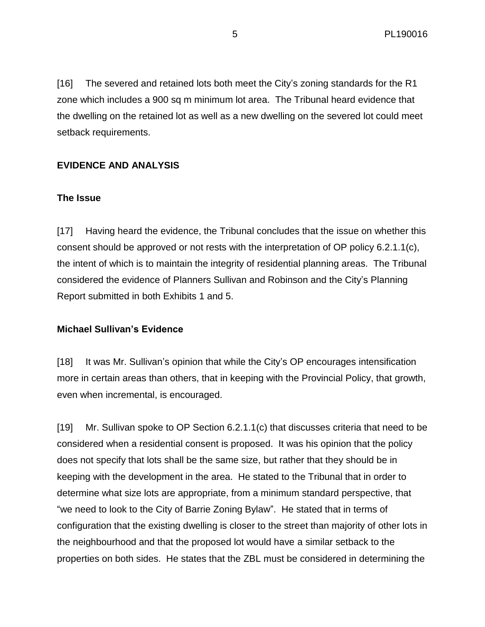[16] The severed and retained lots both meet the City's zoning standards for the R1 zone which includes a 900 sq m minimum lot area. The Tribunal heard evidence that the dwelling on the retained lot as well as a new dwelling on the severed lot could meet setback requirements.

## **EVIDENCE AND ANALYSIS**

#### **The Issue**

[17] Having heard the evidence, the Tribunal concludes that the issue on whether this consent should be approved or not rests with the interpretation of OP policy 6.2.1.1(c), the intent of which is to maintain the integrity of residential planning areas. The Tribunal considered the evidence of Planners Sullivan and Robinson and the City's Planning Report submitted in both Exhibits 1 and 5.

#### **Michael Sullivan's Evidence**

[18] It was Mr. Sullivan's opinion that while the City's OP encourages intensification more in certain areas than others, that in keeping with the Provincial Policy, that growth, even when incremental, is encouraged.

[19] Mr. Sullivan spoke to OP Section 6.2.1.1(c) that discusses criteria that need to be considered when a residential consent is proposed. It was his opinion that the policy does not specify that lots shall be the same size, but rather that they should be in keeping with the development in the area. He stated to the Tribunal that in order to determine what size lots are appropriate, from a minimum standard perspective, that "we need to look to the City of Barrie Zoning Bylaw". He stated that in terms of configuration that the existing dwelling is closer to the street than majority of other lots in the neighbourhood and that the proposed lot would have a similar setback to the properties on both sides. He states that the ZBL must be considered in determining the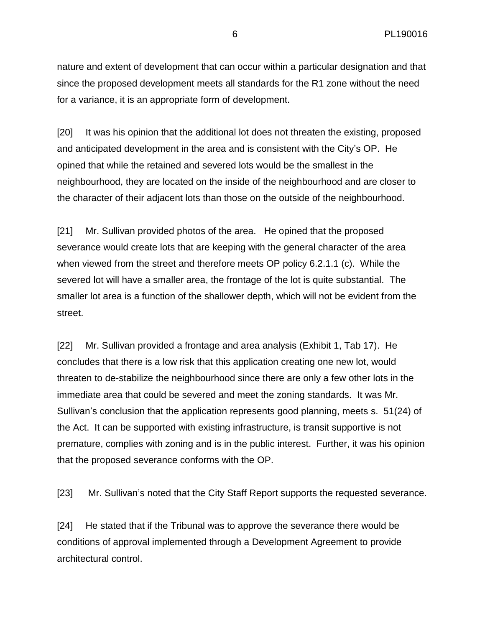nature and extent of development that can occur within a particular designation and that since the proposed development meets all standards for the R1 zone without the need for a variance, it is an appropriate form of development.

[20] It was his opinion that the additional lot does not threaten the existing, proposed and anticipated development in the area and is consistent with the City's OP. He opined that while the retained and severed lots would be the smallest in the neighbourhood, they are located on the inside of the neighbourhood and are closer to the character of their adjacent lots than those on the outside of the neighbourhood.

[21] Mr. Sullivan provided photos of the area. He opined that the proposed severance would create lots that are keeping with the general character of the area when viewed from the street and therefore meets OP policy 6.2.1.1 (c). While the severed lot will have a smaller area, the frontage of the lot is quite substantial. The smaller lot area is a function of the shallower depth, which will not be evident from the street.

[22] Mr. Sullivan provided a frontage and area analysis (Exhibit 1, Tab 17). He concludes that there is a low risk that this application creating one new lot, would threaten to de-stabilize the neighbourhood since there are only a few other lots in the immediate area that could be severed and meet the zoning standards. It was Mr. Sullivan's conclusion that the application represents good planning, meets s. 51(24) of the Act. It can be supported with existing infrastructure, is transit supportive is not premature, complies with zoning and is in the public interest. Further, it was his opinion that the proposed severance conforms with the OP.

[23] Mr. Sullivan's noted that the City Staff Report supports the requested severance.

[24] He stated that if the Tribunal was to approve the severance there would be conditions of approval implemented through a Development Agreement to provide architectural control.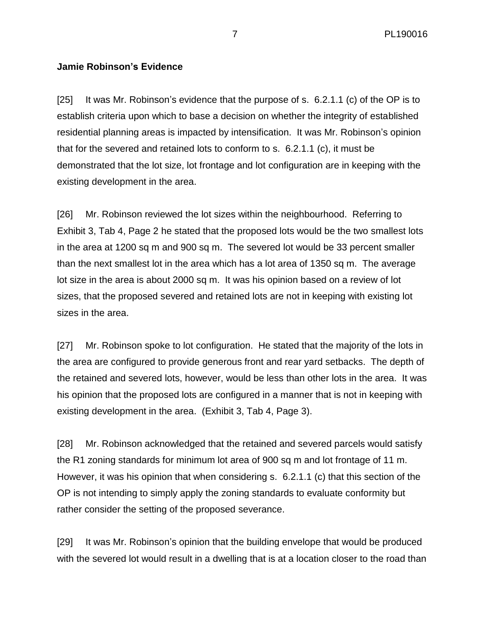7 PL190016

#### **Jamie Robinson's Evidence**

[25] It was Mr. Robinson's evidence that the purpose of s. 6.2.1.1 (c) of the OP is to establish criteria upon which to base a decision on whether the integrity of established residential planning areas is impacted by intensification. It was Mr. Robinson's opinion that for the severed and retained lots to conform to s. 6.2.1.1 (c), it must be demonstrated that the lot size, lot frontage and lot configuration are in keeping with the existing development in the area.

[26] Mr. Robinson reviewed the lot sizes within the neighbourhood. Referring to Exhibit 3, Tab 4, Page 2 he stated that the proposed lots would be the two smallest lots in the area at 1200 sq m and 900 sq m. The severed lot would be 33 percent smaller than the next smallest lot in the area which has a lot area of 1350 sq m. The average lot size in the area is about 2000 sq m. It was his opinion based on a review of lot sizes, that the proposed severed and retained lots are not in keeping with existing lot sizes in the area.

[27] Mr. Robinson spoke to lot configuration. He stated that the majority of the lots in the area are configured to provide generous front and rear yard setbacks. The depth of the retained and severed lots, however, would be less than other lots in the area. It was his opinion that the proposed lots are configured in a manner that is not in keeping with existing development in the area. (Exhibit 3, Tab 4, Page 3).

[28] Mr. Robinson acknowledged that the retained and severed parcels would satisfy the R1 zoning standards for minimum lot area of 900 sq m and lot frontage of 11 m. However, it was his opinion that when considering s. 6.2.1.1 (c) that this section of the OP is not intending to simply apply the zoning standards to evaluate conformity but rather consider the setting of the proposed severance.

[29] It was Mr. Robinson's opinion that the building envelope that would be produced with the severed lot would result in a dwelling that is at a location closer to the road than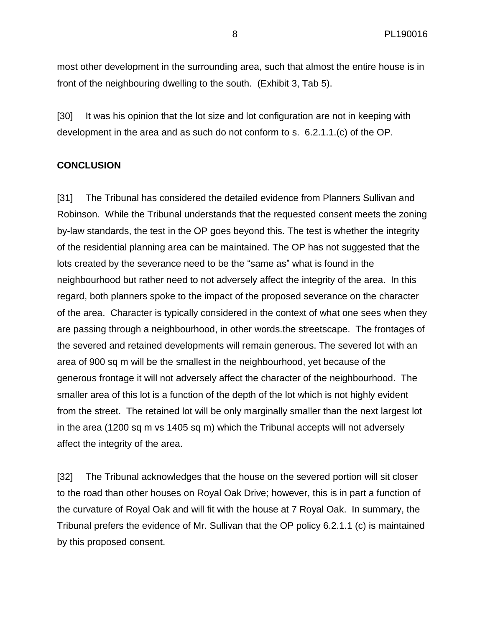most other development in the surrounding area, such that almost the entire house is in front of the neighbouring dwelling to the south. (Exhibit 3, Tab 5).

[30] It was his opinion that the lot size and lot configuration are not in keeping with development in the area and as such do not conform to s. 6.2.1.1.(c) of the OP.

#### **CONCLUSION**

[31] The Tribunal has considered the detailed evidence from Planners Sullivan and Robinson. While the Tribunal understands that the requested consent meets the zoning by-law standards, the test in the OP goes beyond this. The test is whether the integrity of the residential planning area can be maintained. The OP has not suggested that the lots created by the severance need to be the "same as" what is found in the neighbourhood but rather need to not adversely affect the integrity of the area. In this regard, both planners spoke to the impact of the proposed severance on the character of the area. Character is typically considered in the context of what one sees when they are passing through a neighbourhood, in other words.the streetscape. The frontages of the severed and retained developments will remain generous. The severed lot with an area of 900 sq m will be the smallest in the neighbourhood, yet because of the generous frontage it will not adversely affect the character of the neighbourhood. The smaller area of this lot is a function of the depth of the lot which is not highly evident from the street. The retained lot will be only marginally smaller than the next largest lot in the area (1200 sq m vs 1405 sq m) which the Tribunal accepts will not adversely affect the integrity of the area.

[32] The Tribunal acknowledges that the house on the severed portion will sit closer to the road than other houses on Royal Oak Drive; however, this is in part a function of the curvature of Royal Oak and will fit with the house at 7 Royal Oak. In summary, the Tribunal prefers the evidence of Mr. Sullivan that the OP policy 6.2.1.1 (c) is maintained by this proposed consent.